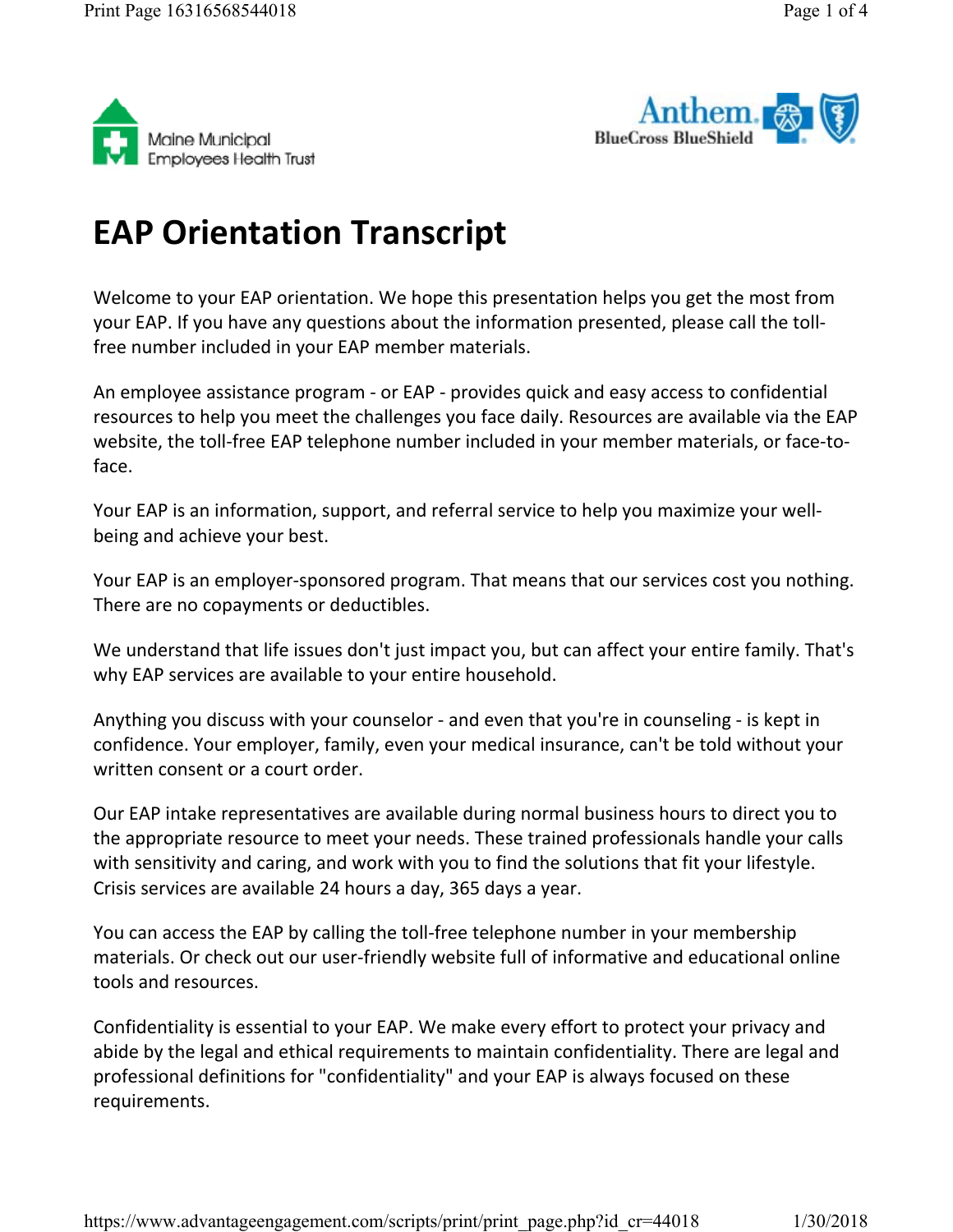



## **EAP Orientation Transcript**

Welcome to your EAP orientation. We hope this presentation helps you get the most from your EAP. If you have any questions about the information presented, please call the tollfree number included in your EAP member materials.

An employee assistance program - or EAP - provides quick and easy access to confidential resources to help you meet the challenges you face daily. Resources are available via the EAP website, the toll-free EAP telephone number included in your member materials, or face-toface.

Your EAP is an information, support, and referral service to help you maximize your wellbeing and achieve your best.

Your EAP is an employer-sponsored program. That means that our services cost you nothing. There are no copayments or deductibles.

We understand that life issues don't just impact you, but can affect your entire family. That's why EAP services are available to your entire household.

Anything you discuss with your counselor - and even that you're in counseling - is kept in confidence. Your employer, family, even your medical insurance, can't be told without your written consent or a court order.

Our EAP intake representatives are available during normal business hours to direct you to the appropriate resource to meet your needs. These trained professionals handle your calls with sensitivity and caring, and work with you to find the solutions that fit your lifestyle. Crisis services are available 24 hours a day, 365 days a year.

You can access the EAP by calling the toll-free telephone number in your membership materials. Or check out our user-friendly website full of informative and educational online tools and resources.

Confidentiality is essential to your EAP. We make every effort to protect your privacy and abide by the legal and ethical requirements to maintain confidentiality. There are legal and professional definitions for "confidentiality" and your EAP is always focused on these requirements.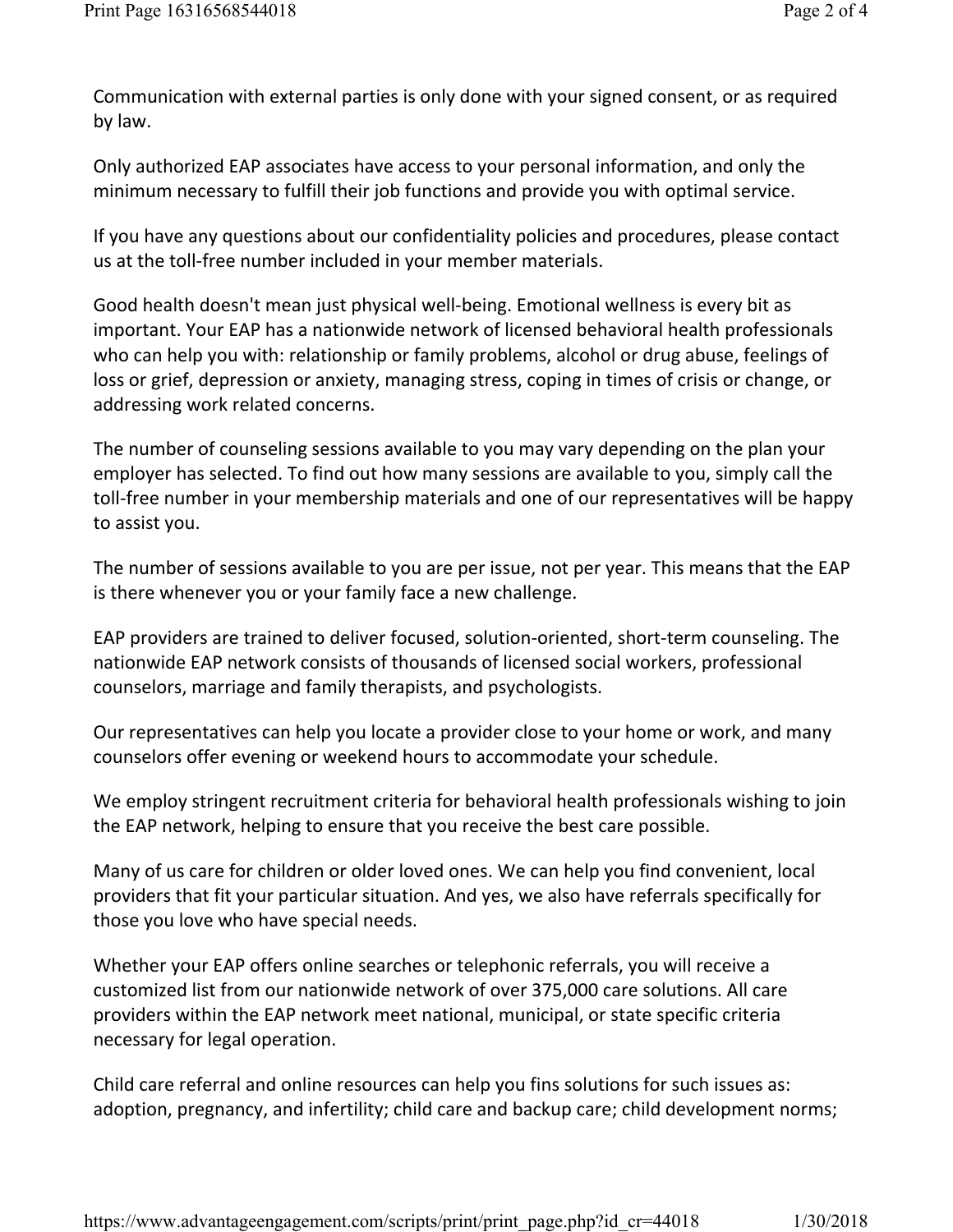Communication with external parties is only done with your signed consent, or as required by law.

Only authorized EAP associates have access to your personal information, and only the minimum necessary to fulfill their job functions and provide you with optimal service.

If you have any questions about our confidentiality policies and procedures, please contact us at the toll-free number included in your member materials.

Good health doesn't mean just physical well-being. Emotional wellness is every bit as important. Your EAP has a nationwide network of licensed behavioral health professionals who can help you with: relationship or family problems, alcohol or drug abuse, feelings of loss or grief, depression or anxiety, managing stress, coping in times of crisis or change, or addressing work related concerns.

The number of counseling sessions available to you may vary depending on the plan your employer has selected. To find out how many sessions are available to you, simply call the toll-free number in your membership materials and one of our representatives will be happy to assist you.

The number of sessions available to you are per issue, not per year. This means that the EAP is there whenever you or your family face a new challenge.

EAP providers are trained to deliver focused, solution-oriented, short-term counseling. The nationwide EAP network consists of thousands of licensed social workers, professional counselors, marriage and family therapists, and psychologists.

Our representatives can help you locate a provider close to your home or work, and many counselors offer evening or weekend hours to accommodate your schedule.

We employ stringent recruitment criteria for behavioral health professionals wishing to join the EAP network, helping to ensure that you receive the best care possible.

Many of us care for children or older loved ones. We can help you find convenient, local providers that fit your particular situation. And yes, we also have referrals specifically for those you love who have special needs.

Whether your EAP offers online searches or telephonic referrals, you will receive a customized list from our nationwide network of over 375,000 care solutions. All care providers within the EAP network meet national, municipal, or state specific criteria necessary for legal operation.

Child care referral and online resources can help you fins solutions for such issues as: adoption, pregnancy, and infertility; child care and backup care; child development norms;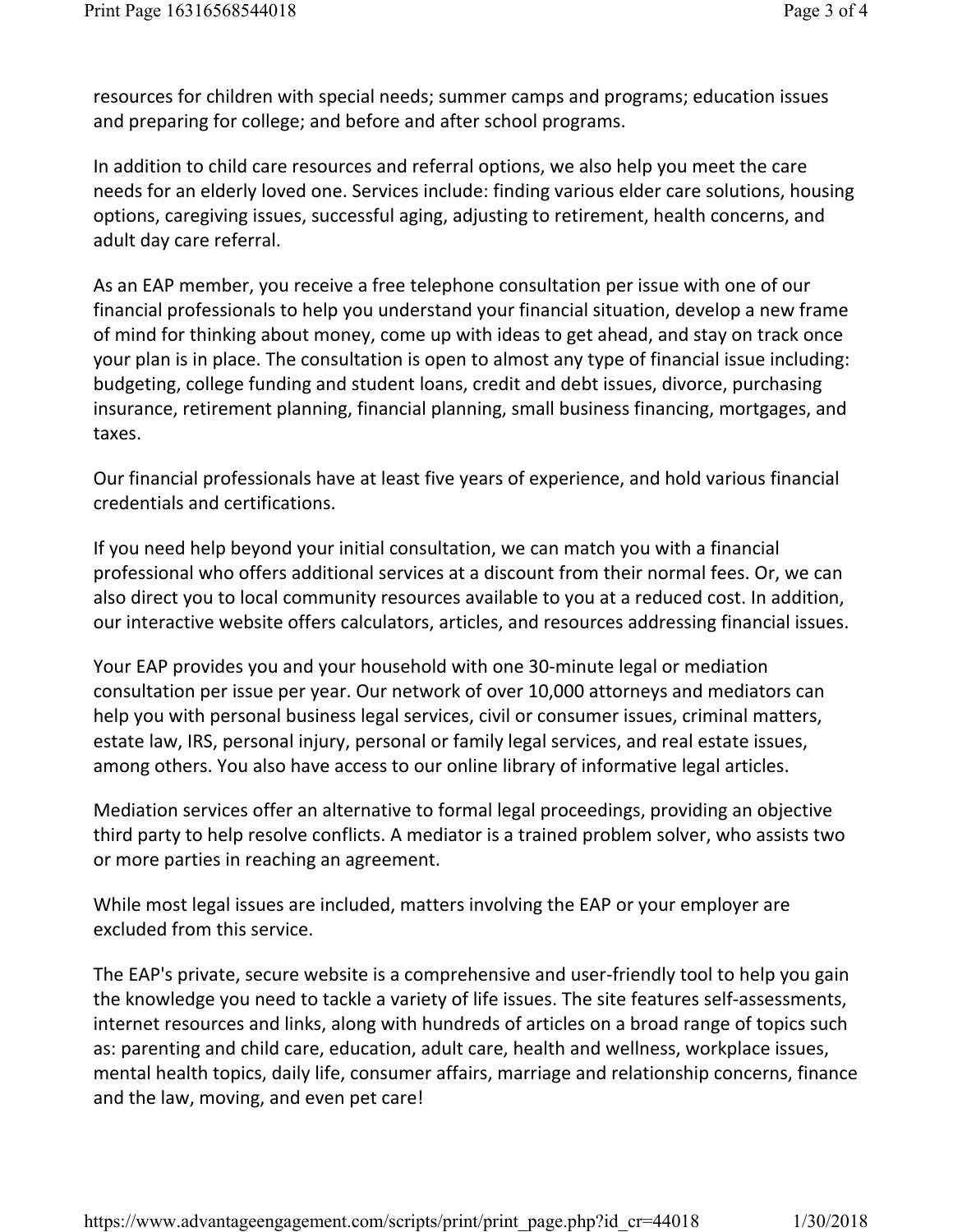resources for children with special needs; summer camps and programs; education issues and preparing for college; and before and after school programs.

In addition to child care resources and referral options, we also help you meet the care needs for an elderly loved one. Services include: finding various elder care solutions, housing options, caregiving issues, successful aging, adjusting to retirement, health concerns, and adult day care referral.

As an EAP member, you receive a free telephone consultation per issue with one of our financial professionals to help you understand your financial situation, develop a new frame of mind for thinking about money, come up with ideas to get ahead, and stay on track once your plan is in place. The consultation is open to almost any type of financial issue including: budgeting, college funding and student loans, credit and debt issues, divorce, purchasing insurance, retirement planning, financial planning, small business financing, mortgages, and taxes.

Our financial professionals have at least five years of experience, and hold various financial credentials and certifications.

If you need help beyond your initial consultation, we can match you with a financial professional who offers additional services at a discount from their normal fees. Or, we can also direct you to local community resources available to you at a reduced cost. In addition, our interactive website offers calculators, articles, and resources addressing financial issues.

Your EAP provides you and your household with one 30-minute legal or mediation consultation per issue per year. Our network of over 10,000 attorneys and mediators can help you with personal business legal services, civil or consumer issues, criminal matters, estate law, IRS, personal injury, personal or family legal services, and real estate issues, among others. You also have access to our online library of informative legal articles.

Mediation services offer an alternative to formal legal proceedings, providing an objective third party to help resolve conflicts. A mediator is a trained problem solver, who assists two or more parties in reaching an agreement.

While most legal issues are included, matters involving the EAP or your employer are excluded from this service.

The EAP's private, secure website is a comprehensive and user-friendly tool to help you gain the knowledge you need to tackle a variety of life issues. The site features self-assessments, internet resources and links, along with hundreds of articles on a broad range of topics such as: parenting and child care, education, adult care, health and wellness, workplace issues, mental health topics, daily life, consumer affairs, marriage and relationship concerns, finance and the law, moving, and even pet care!